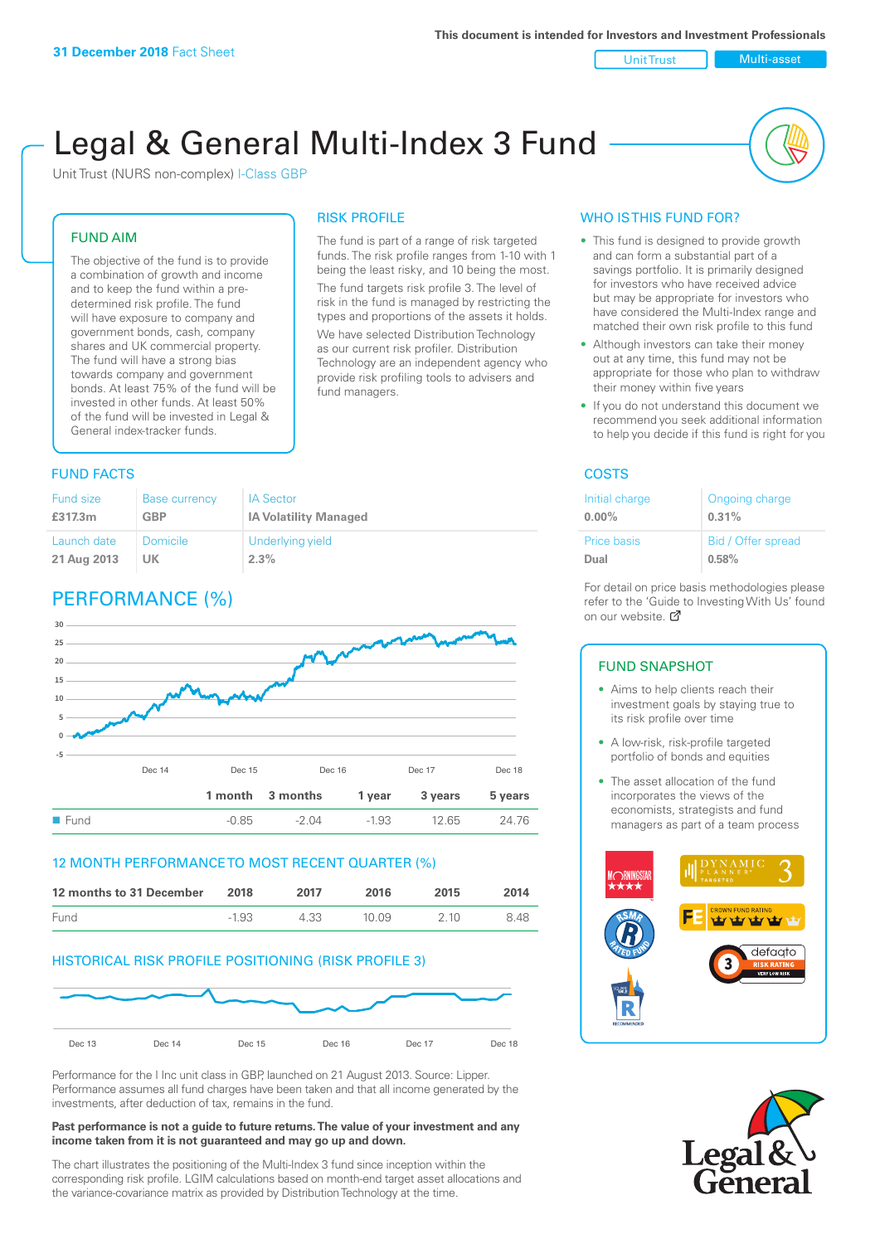Unit Trust Nulti-asset

# Legal & General Multi-Index 3 Fund

RISK PROFILE

fund managers.

The fund is part of a range of risk targeted funds. The risk profile ranges from 1-10 with 1 being the least risky, and 10 being the most. The fund targets risk profile 3. The level of risk in the fund is managed by restricting the types and proportions of the assets it holds. We have selected Distribution Technology as our current risk profiler. Distribution Technology are an independent agency who provide risk profiling tools to advisers and

Unit Trust (NURS non-complex) I-Class GBP

#### FUND AIM

The objective of the fund is to provide a combination of growth and income and to keep the fund within a predetermined risk profile. The fund will have exposure to company and government bonds, cash, company shares and UK commercial property. The fund will have a strong bias towards company and government bonds. At least 75% of the fund will be invested in other funds. At least 50% of the fund will be invested in Legal & General index-tracker funds.

### **FUND FACTS** COSTS

| <b>Fund size</b> | <b>Base currency</b> | <b>IA Sector</b>             |
|------------------|----------------------|------------------------------|
| £317.3m          | <b>GBP</b>           | <b>IA Volatility Managed</b> |
| Launch date      | Domicile             | Underlying yield             |
| 21 Aug 2013      | UK                   | 2.3%                         |

# PERFORMANCE (%)



#### 12 MONTH PERFORMANCE TO MOST RECENT QUARTER (%)

| 12 months to 31 December | 2018    | 2017 | 2016   | 2015  | 2014 |
|--------------------------|---------|------|--------|-------|------|
| Fund                     | $-1.93$ | 4.33 | 10 O.9 | 2 1 0 | 848  |

#### HISTORICAL RISK PROFILE POSITIONING (RISK PROFILE 3)



Performance for the I Inc unit class in GBP, launched on 21 August 2013. Source: Lipper. Performance assumes all fund charges have been taken and that all income generated by the investments, after deduction of tax, remains in the fund.

#### **Past performance is not a guide to future returns. The value of your investment and any income taken from it is not guaranteed and may go up and down.**

The chart illustrates the positioning of the Multi-Index 3 fund since inception within the corresponding risk profile. LGIM calculations based on month-end target asset allocations and the variance-covariance matrix as provided by Distribution Technology at the time.

#### WHO IS THIS FUND FOR?

- This fund is designed to provide growth and can form a substantial part of a savings portfolio. It is primarily designed for investors who have received advice but may be appropriate for investors who have considered the Multi-Index range and matched their own risk profile to this fund
- Although investors can take their money out at any time, this fund may not be appropriate for those who plan to withdraw their money within five years
- If you do not understand this document we recommend you seek additional information to help you decide if this fund is right for you

| Initial charge | Ongoing charge     |
|----------------|--------------------|
| $0.00\%$       | 0.31%              |
| Price basis    | Bid / Offer spread |
| Dual           | 0.58%              |

For detail on price basis methodologies please refer to the 'Guide to Investing With Us' found on our website. Ø

#### FUND SNAPSHOT

- Aims to help clients reach their investment goals by staying true to its risk profile over time
- A low-risk, risk-profile targeted portfolio of bonds and equities
- The asset allocation of the fund incorporates the views of the economists, strategists and fund managers as part of a team process



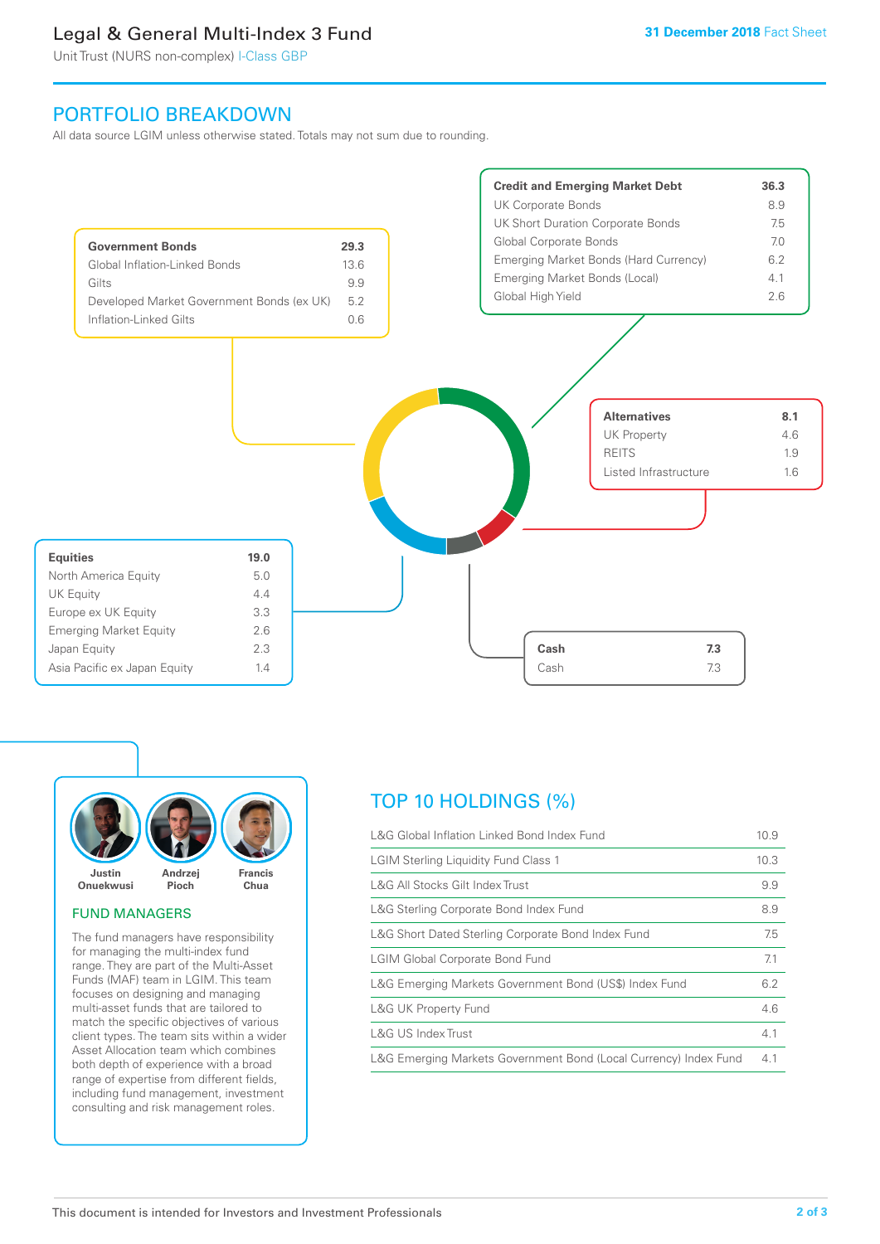# Legal & General Multi-Index 3 Fund

Unit Trust (NURS non-complex) I-Class GBP

## PORTFOLIO BREAKDOWN

All data source LGIM unless otherwise stated. Totals may not sum due to rounding.





#### FUND MANAGERS

The fund managers have responsibility for managing the multi-index fund range. They are part of the Multi-Asset Funds (MAF) team in LGIM. This team focuses on designing and managing multi-asset funds that are tailored to match the specific objectives of various client types. The team sits within a wider Asset Allocation team which combines both depth of experience with a broad range of expertise from different fields, including fund management, investment consulting and risk management roles.

# TOP 10 HOLDINGS (%)

| L&G Global Inflation Linked Bond Index Fund                      | 10.9 |
|------------------------------------------------------------------|------|
| <b>LGIM Sterling Liquidity Fund Class 1</b>                      | 10.3 |
| L&G All Stocks Gilt Index Trust                                  | 9.9  |
| L&G Sterling Corporate Bond Index Fund                           | 8.9  |
| L&G Short Dated Sterling Corporate Bond Index Fund               | 7.5  |
| <b>LGIM Global Corporate Bond Fund</b>                           | 7.1  |
| L&G Emerging Markets Government Bond (US\$) Index Fund           | 6.2  |
| <b>L&amp;G UK Property Fund</b>                                  | 4.6  |
| L&G US Index Trust                                               | 4.1  |
| L&G Emerging Markets Government Bond (Local Currency) Index Fund | 4.1  |